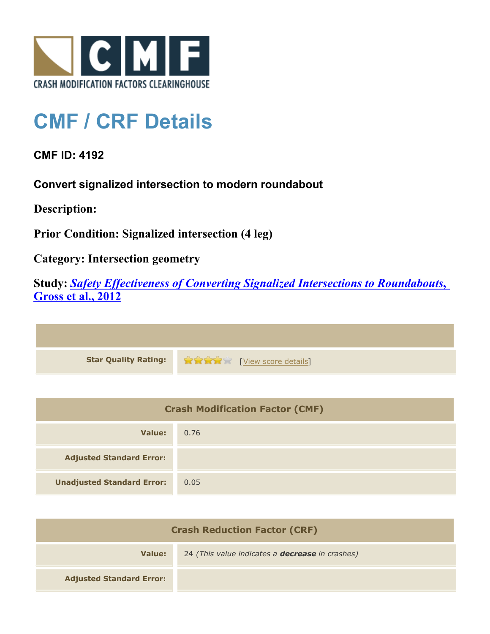

## **CMF / CRF Details**

**CMF ID: 4192**

**Convert signalized intersection to modern roundabout**

**Description:** 

**Prior Condition: Signalized intersection (4 leg)**

**Category: Intersection geometry**

**Study:** *[Safety Effectiveness of Converting Signalized Intersections to Roundabouts](http://www.cmfclearinghouse.org/study_detail.cfm?stid=286)***[,](http://www.cmfclearinghouse.org/study_detail.cfm?stid=286) [Gross et al., 2012](http://www.cmfclearinghouse.org/study_detail.cfm?stid=286)**

**Star Quality Rating:**  $\mathbf{r} = \mathbf{r} + \mathbf{r}$ 

| <b>Crash Modification Factor (CMF)</b> |      |
|----------------------------------------|------|
| Value:                                 | 0.76 |
| <b>Adjusted Standard Error:</b>        |      |
| <b>Unadjusted Standard Error:</b>      | 0.05 |

| <b>Crash Reduction Factor (CRF)</b> |                                                        |
|-------------------------------------|--------------------------------------------------------|
| Value:                              | 24 (This value indicates a <b>decrease</b> in crashes) |
| <b>Adjusted Standard Error:</b>     |                                                        |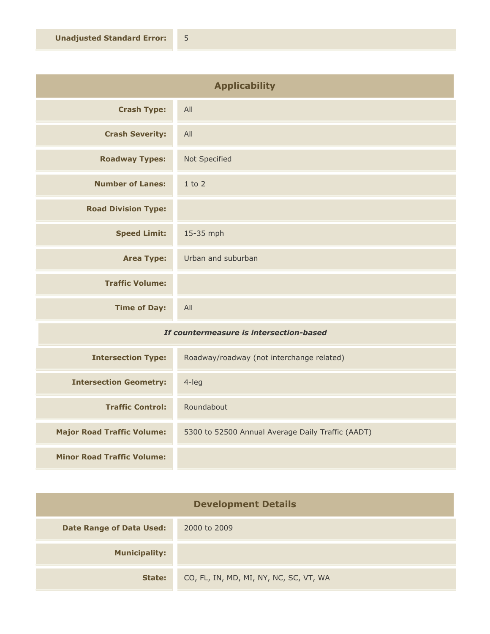| <b>Applicability</b>                    |                    |
|-----------------------------------------|--------------------|
| <b>Crash Type:</b>                      | All                |
| <b>Crash Severity:</b>                  | All                |
| <b>Roadway Types:</b>                   | Not Specified      |
| <b>Number of Lanes:</b>                 | $1$ to $2$         |
| <b>Road Division Type:</b>              |                    |
| <b>Speed Limit:</b>                     | 15-35 mph          |
| <b>Area Type:</b>                       | Urban and suburban |
| <b>Traffic Volume:</b>                  |                    |
| <b>Time of Day:</b>                     | All                |
| If countermeasure is intersection-hased |                    |

## *If countermeasure is intersection-based*

| <b>Intersection Type:</b>         | Roadway/roadway (not interchange related)         |
|-----------------------------------|---------------------------------------------------|
| <b>Intersection Geometry:</b>     | $4$ -leg                                          |
| <b>Traffic Control:</b>           | Roundabout                                        |
| <b>Major Road Traffic Volume:</b> | 5300 to 52500 Annual Average Daily Traffic (AADT) |
| <b>Minor Road Traffic Volume:</b> |                                                   |

| <b>Development Details</b>      |                                        |
|---------------------------------|----------------------------------------|
| <b>Date Range of Data Used:</b> | 2000 to 2009                           |
| <b>Municipality:</b>            |                                        |
| State:                          | CO, FL, IN, MD, MI, NY, NC, SC, VT, WA |